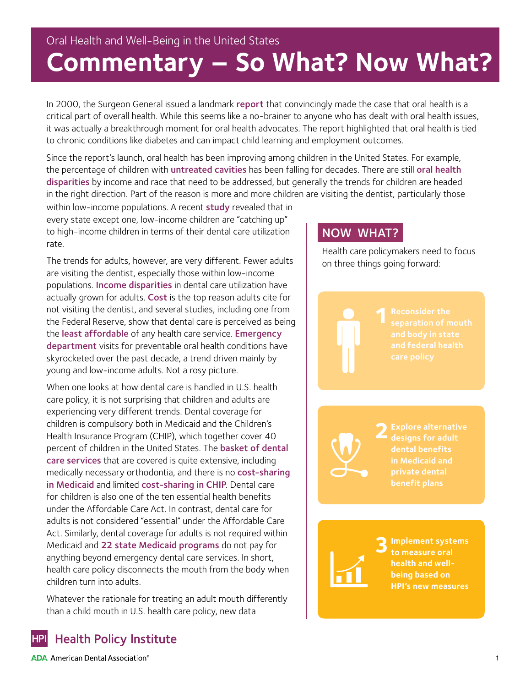# Oral Health and Well-Being in the United States **Commentary – So What? Now What?**

In 2000, the Surgeon General issued a landmark [report](http://profiles.nlm.nih.gov/ps/retrieve/ResourceMetadata/NNBBJT/) that convincingly made the case that oral health is a critical part of overall health. While this seems like a no-brainer to anyone who has dealt with oral health issues, it was actually a breakthrough moment for oral health advocates. The report highlighted that oral health is tied to chronic conditions like diabetes and can impact child learning and employment outcomes.

Since the report's launch, oral health has been improving among children in the United States. For example, the percentage of children with untreated cavities has been falling for decades. There are still oral health [disparities](http://www.cdc.gov/oralhealth/oral_health_disparities/) by income and race that need to be addressed, but generally the trends for children are headed in the right direction. Part of the reason is more and more children are visiting the dentist, particularly those

within low-income populations. A recent study revealed that in every state except one, low-income children are "catching up" to high-income children in terms of their dental care utilization rate.

The trends for adults, however, are very different. Fewer adults are visiting the dentist, especially those within low-income populations. **[Income disparities](http://jada.ada.org/article/S0002-8177(14)60036-2/pdf)** in dental care utilization have actually grown for adults. Cost is the top reason adults cite for not visiting the dentist, and several studies, including one from the Federal Reserve, show that dental care is perceived as being the [least affordable](http://www.google.com/url?sa=t&rct=j&q=&esrc=s&source=web&cd=1&cad=rja&uact=8&ved=0ahUKEwjC0PuM9JrMAhViyYMKHYeuDckQFggcMAA&url=http%3A%2F%2Fwww.federalreserve.gov%2Feconresdata%2F2014-report-economic-well-being-us-households-201505.pdf&usg=AFQjCNG7YN9oCS6yj10mms3x82lNkTFjYA&sig2=hAsBtwOA6L588KPeJwYBtw) of any health care service. Emergency [department](http://www.ada.org/~/media/ADA/Science%20and%20Research/HPI/Files/HPIBrief_0216_1.pdf?la=en) visits for preventable oral health conditions have skyrocketed over the past decade, a trend driven mainly by young and low-income adults. Not a rosy picture.

When one looks at how dental care is handled in U.S. health care policy, it is not surprising that children and adults are experiencing very different trends. Dental coverage for children is compulsory both in Medicaid and the Children's Health Insurance Program (CHIP), which together cover 40 percent of children in the United States. The basket of dental [care services](https://www.medicaid.gov/Medicaid-CHIP-Program-Information/By-Topics/Benefits/Downloads/EPSDT_Coverage_Guide.pdf) that are covered is quite extensive, including medically necessary orthodontia, and there is no cost-sharing [in Medicaid](https://kaiserfamilyfoundation.files.wordpress.com/2014/02/kcmu-medicaid-benefits-database-general-information-about-benefits.pdf) and limited [cost-sharing in CHIP](http://ccf.georgetown.edu/wp-content/uploads/2014/05/Benefits-and-Cost-Sharing-in-Separate-CHIP-Programs.pdf). Dental care for children is also one of the ten essential health benefits under the Affordable Care Act. In contrast, dental care for adults is not considered "essential" under the Affordable Care Act. Similarly, dental coverage for adults is not required within Medicaid and 22 [state Medicaid programs](https://www.macpac.gov/wp-content/uploads/2015/06/Medicaid-Coverage-of-Dental-Benefits-for-Adults.pdf) do not pay for anything beyond emergency dental care services. In short, health care policy disconnects the mouth from the body when children turn into adults.

Whatever the rationale for treating an adult mouth differently than a child mouth in U.S. health care policy, new data

### NOW WHAT?

Health care policymakers need to focus on three things going forward:

**2Explore alternative designs for adult dental benefits in Medicaid and private dental benefit plans**

**3Implement systems to measure oral health and wellbeing based on HPI's new measures**

### **Health Policy Institute HPI**

**ADA** American Dental Association<sup>®</sup>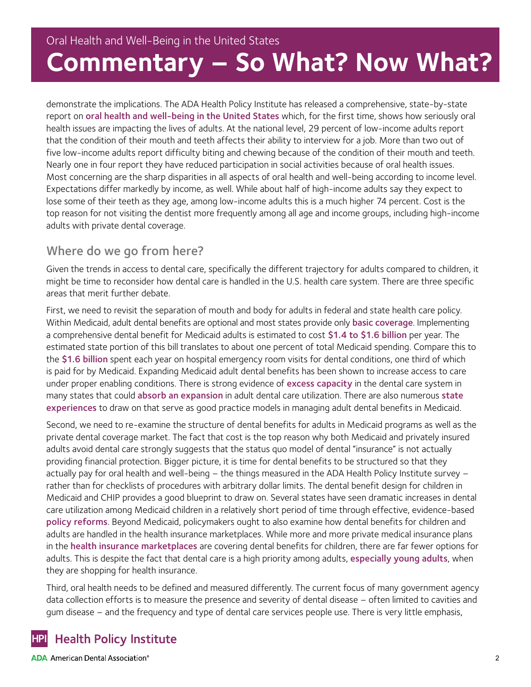demonstrate the implications. The ADA Health Policy Institute has released a comprehensive, state-by-state report on [oral health and well-being in the United States](https://www.ada.org/resources/research/health-policy-institute/coverage-access-outcomes/oral-health-and-well-being) which, for the first time, shows how seriously oral health issues are impacting the lives of adults. At the national level, 29 percent of low-income adults report that the condition of their mouth and teeth affects their ability to interview for a job. More than two out of five low-income adults report difficulty biting and chewing because of the condition of their mouth and teeth. Nearly one in four report they have reduced participation in social activities because of oral health issues. Most concerning are the sharp disparities in all aspects of oral health and well-being according to income level. Expectations differ markedly by income, as well. While about half of high-income adults say they expect to lose some of their teeth as they age, among low-income adults this is a much higher 74 percent. Cost is the top reason for not visiting the dentist more frequently among all age and income groups, including high-income adults with private dental coverage.

## Where do we go from here?

Given the trends in access to dental care, specifically the different trajectory for adults compared to children, it might be time to reconsider how dental care is handled in the U.S. health care system. There are three specific areas that merit further debate.

First, we need to revisit the separation of mouth and body for adults in federal and state health care policy. Within Medicaid, adult dental benefits are optional and most states provide only [basic coverage](http://www.chcs.org/resource/medicaid-adult-dental-benefits-overview/). Implementing a comprehensive dental benefit for Medicaid adults is estimated to cost \$1.4 to \$1.6 billion per year. The estimated state portion of this bill translates to about one percent of total Medicaid spending. Compare this to the \$1.6 billion spent each year on hospital emergency room visits for dental conditions, one third of which is paid for by Medicaid. Expanding Medicaid adult dental benefits has been shown to increase access to care under proper enabling conditions. There is strong evidence of [excess capacity](http://jada.ada.org/article/S0002-8177%2815%2900391-8/pdf) in the dental care system in many states that could [absorb an expansion](http://www.nber.org/papers/w20053) in adult dental care utilization. There are also numerous state [experiences](http://www.nashp.org/adult-dental-benefits-in-medicaid-recent-experiences-from-seven-states/) to draw on that serve as good practice models in managing adult dental benefits in Medicaid.

Second, we need to re-examine the structure of dental benefits for adults in Medicaid programs as well as the private dental coverage market. The fact that cost is the top reason why both Medicaid and privately insured adults avoid dental care strongly suggests that the status quo model of dental "insurance" is not actually providing financial protection. Bigger picture, it is time for dental benefits to be structured so that they actually pay for oral health and well-being – the things measured in the ADA Health Policy Institute survey – rather than for checklists of procedures with arbitrary dollar limits. The dental benefit design for children in Medicaid and CHIP provides a good blueprint to draw on. Several states have seen dramatic increases in dental care utilization among Medicaid children in a relatively short period of time through effective, evidence-based [policy reforms](http://onlinelibrary.wiley.com/doi/10.1111/1475-6773.12265/pdf). Beyond Medicaid, policymakers ought to also examine how dental benefits for children and adults are handled in the health insurance marketplaces. While more and more private medical insurance plans in the health insurance marketplaces are covering dental benefits for children, there are far fewer options for adults. This is despite the fact that dental care is a high priority among adults, [especially young adults](http://www.jahonline.org/article/S1054-139X(15)00172-X/abstract), when they are shopping for health insurance.

Third, oral health needs to be defined and measured differently. The current focus of many government agency data collection efforts is to measure the presence and severity of dental disease – often limited to cavities and gum disease – and the frequency and type of dental care services people use. There is very little emphasis,

#### **Health Policy Institute HPI**

**ADA** American Dental Association<sup>®</sup>